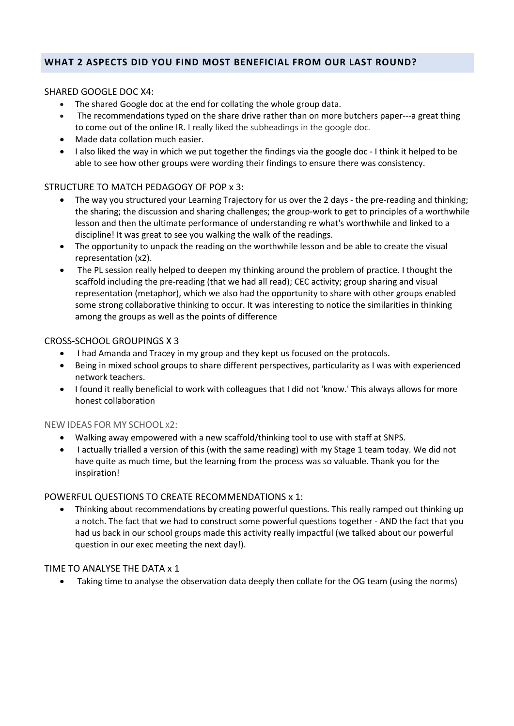# **WHAT 2 ASPECTS DID YOU FIND MOST BENEFICIAL FROM OUR LAST ROUND?**

#### SHARED GOOGLE DOC X4:

- The shared Google doc at the end for collating the whole group data.
- The recommendations typed on the share drive rather than on more butchers paper---a great thing to come out of the online IR. I really liked the subheadings in the google doc.
- Made data collation much easier.
- I also liked the way in which we put together the findings via the google doc I think it helped to be able to see how other groups were wording their findings to ensure there was consistency.

# STRUCTURE TO MATCH PEDAGOGY OF POP x 3:

- The way you structured your Learning Trajectory for us over the 2 days the pre-reading and thinking; the sharing; the discussion and sharing challenges; the group-work to get to principles of a worthwhile lesson and then the ultimate performance of understanding re what's worthwhile and linked to a discipline! It was great to see you walking the walk of the readings.
- The opportunity to unpack the reading on the worthwhile lesson and be able to create the visual representation (x2).
- The PL session really helped to deepen my thinking around the problem of practice. I thought the scaffold including the pre-reading (that we had all read); CEC activity; group sharing and visual representation (metaphor), which we also had the opportunity to share with other groups enabled some strong collaborative thinking to occur. It was interesting to notice the similarities in thinking among the groups as well as the points of difference

#### CROSS-SCHOOL GROUPINGS X 3

- I had Amanda and Tracey in my group and they kept us focused on the protocols.
- Being in mixed school groups to share different perspectives, particularity as I was with experienced network teachers.
- I found it really beneficial to work with colleagues that I did not 'know.' This always allows for more honest collaboration

#### NEW IDEAS FOR MY SCHOOL X2:

- Walking away empowered with a new scaffold/thinking tool to use with staff at SNPS.
- I actually trialled a version of this (with the same reading) with my Stage 1 team today. We did not have quite as much time, but the learning from the process was so valuable. Thank you for the inspiration!

#### POWERFUL QUESTIONS TO CREATE RECOMMENDATIONS x 1:

• Thinking about recommendations by creating powerful questions. This really ramped out thinking up a notch. The fact that we had to construct some powerful questions together - AND the fact that you had us back in our school groups made this activity really impactful (we talked about our powerful question in our exec meeting the next day!).

#### TIME TO ANALYSE THE DATA x 1

• Taking time to analyse the observation data deeply then collate for the OG team (using the norms)